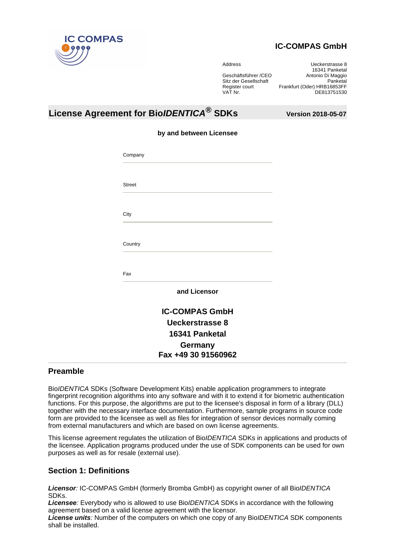

# **IC-COMPAS GmbH**

Address Ueckerstrasse 8 16341 Panketal<br>Geschäftsführer /CEO Matonio Di Maggio Antonio Di Maggio Sitz der Gesellschaft Panketal Register court Frankfurt (Oder) HRB16853FF VAT Nr. 2002 12:00 12:00 12:00 12:00 12:00 12:00 12:00 12:00 12:00 12:00 12:00 12:00 12:00 12:00 12:00 12:00 1

# **License Agreement for BioIDENTICA® SDKs Version 2018-05-07**

|  |  |  | by and between Licensee |
|--|--|--|-------------------------|
|--|--|--|-------------------------|

| <b>Street</b>          |  |
|------------------------|--|
|                        |  |
| City                   |  |
| Country                |  |
|                        |  |
| Fax                    |  |
| and Licensor           |  |
| <b>IC-COMPAS GmbH</b>  |  |
| <b>Ueckerstrasse 8</b> |  |
| 16341 Panketal         |  |
| Germany                |  |

## **Preamble**

BioIDENTICA SDKs (Software Development Kits) enable application programmers to integrate fingerprint recognition algorithms into any software and with it to extend it for biometric authentication functions. For this purpose, the algorithms are put to the licensee's disposal in form of a library (DLL) together with the necessary interface documentation. Furthermore, sample programs in source code form are provided to the licensee as well as files for integration of sensor devices normally coming from external manufacturers and which are based on own license agreements.

This license agreement regulates the utilization of Bio*IDENTICA* SDKs in applications and products of the licensee. Application programs produced under the use of SDK components can be used for own purposes as well as for resale (external use).

# **Section 1: Definitions**

**Licensor**: IC-COMPAS GmbH (formerly Bromba GmbH) as copyright owner of all BioIDENTICA SDKs.

**Licensee**: Everybody who is allowed to use BioIDENTICA SDKs in accordance with the following agreement based on a valid license agreement with the licensor.

**License units**: Number of the computers on which one copy of any BioIDENTICA SDK components shall be installed.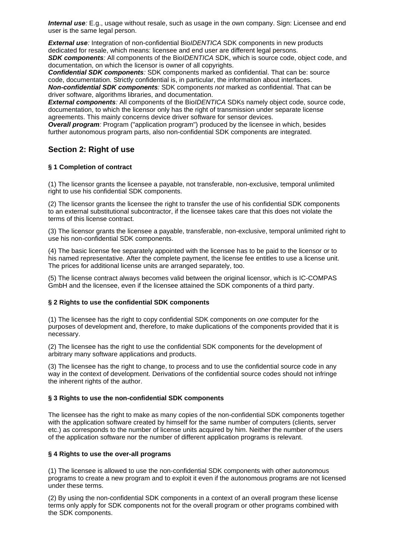**Internal use**: E.g., usage without resale, such as usage in the own company. Sign: Licensee and end user is the same legal person.

**External use**: Integration of non-confidential Bio*IDENTICA* SDK components in new products dedicated for resale, which means: licensee and end user are different legal persons. **SDK components:** All components of the Bio*IDENTICA* SDK, which is source code, object code, and documentation, on which the licensor is owner of all copyrights.

**Confidential SDK components**: SDK components marked as confidential. That can be: source code, documentation. Strictly confidential is, in particular, the information about interfaces. **Non-confidential SDK components**: SDK components not marked as confidential. That can be driver software, algorithms libraries, and documentation.

**External components:** All components of the Bio*IDENTICA* SDKs namely object code, source code, documentation, to which the licensor only has the right of transmission under separate license agreements. This mainly concerns device driver software for sensor devices.

**Overall program**: Program ("application program") produced by the licensee in which, besides further autonomous program parts, also non-confidential SDK components are integrated.

## **Section 2: Right of use**

## **§ 1 Completion of contract**

(1) The licensor grants the licensee a payable, not transferable, non-exclusive, temporal unlimited right to use his confidential SDK components.

(2) The licensor grants the licensee the right to transfer the use of his confidential SDK components to an external substitutional subcontractor, if the licensee takes care that this does not violate the terms of this license contract.

(3) The licensor grants the licensee a payable, transferable, non-exclusive, temporal unlimited right to use his non-confidential SDK components.

(4) The basic license fee separately appointed with the licensee has to be paid to the licensor or to his named representative. After the complete payment, the license fee entitles to use a license unit. The prices for additional license units are arranged separately, too.

(5) The license contract always becomes valid between the original licensor, which is IC-COMPAS GmbH and the licensee, even if the licensee attained the SDK components of a third party.

## **§ 2 Rights to use the confidential SDK components**

(1) The licensee has the right to copy confidential SDK components on one computer for the purposes of development and, therefore, to make duplications of the components provided that it is necessary.

(2) The licensee has the right to use the confidential SDK components for the development of arbitrary many software applications and products.

(3) The licensee has the right to change, to process and to use the confidential source code in any way in the context of development. Derivations of the confidential source codes should not infringe the inherent rights of the author.

## **§ 3 Rights to use the non-confidential SDK components**

The licensee has the right to make as many copies of the non-confidential SDK components together with the application software created by himself for the same number of computers (clients, server etc.) as corresponds to the number of license units acquired by him. Neither the number of the users of the application software nor the number of different application programs is relevant.

## **§ 4 Rights to use the over-all programs**

(1) The licensee is allowed to use the non-confidential SDK components with other autonomous programs to create a new program and to exploit it even if the autonomous programs are not licensed under these terms.

(2) By using the non-confidential SDK components in a context of an overall program these license terms only apply for SDK components not for the overall program or other programs combined with the SDK components.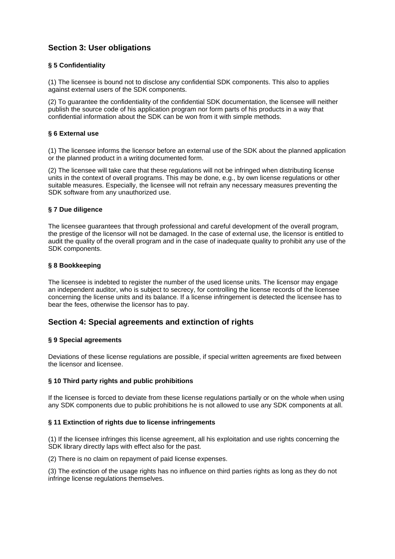# **Section 3: User obligations**

## **§ 5 Confidentiality**

(1) The licensee is bound not to disclose any confidential SDK components. This also to applies against external users of the SDK components.

(2) To guarantee the confidentiality of the confidential SDK documentation, the licensee will neither publish the source code of his application program nor form parts of his products in a way that confidential information about the SDK can be won from it with simple methods.

## **§ 6 External use**

(1) The licensee informs the licensor before an external use of the SDK about the planned application or the planned product in a writing documented form.

(2) The licensee will take care that these regulations will not be infringed when distributing license units in the context of overall programs. This may be done, e.g., by own license regulations or other suitable measures. Especially, the licensee will not refrain any necessary measures preventing the SDK software from any unauthorized use.

## **§ 7 Due diligence**

The licensee guarantees that through professional and careful development of the overall program, the prestige of the licensor will not be damaged. In the case of external use, the licensor is entitled to audit the quality of the overall program and in the case of inadequate quality to prohibit any use of the SDK components.

#### **§ 8 Bookkeeping**

The licensee is indebted to register the number of the used license units. The licensor may engage an independent auditor, who is subject to secrecy, for controlling the license records of the licensee concerning the license units and its balance. If a license infringement is detected the licensee has to bear the fees, otherwise the licensor has to pay.

## **Section 4: Special agreements and extinction of rights**

## **§ 9 Special agreements**

Deviations of these license regulations are possible, if special written agreements are fixed between the licensor and licensee.

## **§ 10 Third party rights and public prohibitions**

If the licensee is forced to deviate from these license regulations partially or on the whole when using any SDK components due to public prohibitions he is not allowed to use any SDK components at all.

## **§ 11 Extinction of rights due to license infringements**

(1) If the licensee infringes this license agreement, all his exploitation and use rights concerning the SDK library directly laps with effect also for the past.

(2) There is no claim on repayment of paid license expenses.

(3) The extinction of the usage rights has no influence on third parties rights as long as they do not infringe license regulations themselves.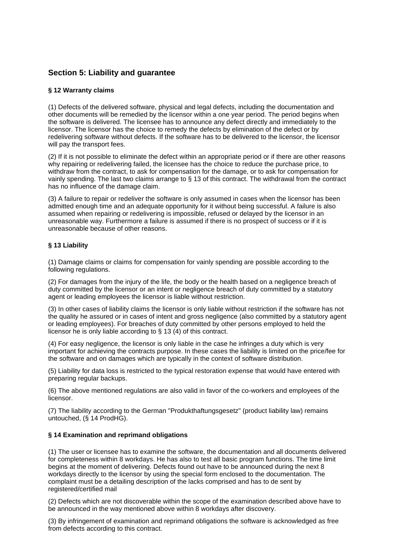# **Section 5: Liability and guarantee**

## **§ 12 Warranty claims**

(1) Defects of the delivered software, physical and legal defects, including the documentation and other documents will be remedied by the licensor within a one year period. The period begins when the software is delivered. The licensee has to announce any defect directly and immediately to the licensor. The licensor has the choice to remedy the defects by elimination of the defect or by redelivering software without defects. If the software has to be delivered to the licensor, the licensor will pay the transport fees.

(2) If it is not possible to eliminate the defect within an appropriate period or if there are other reasons why repairing or redelivering failed, the licensee has the choice to reduce the purchase price, to withdraw from the contract, to ask for compensation for the damage, or to ask for compensation for vainly spending. The last two claims arrange to § 13 of this contract. The withdrawal from the contract has no influence of the damage claim.

(3) A failure to repair or redeliver the software is only assumed in cases when the licensor has been admitted enough time and an adequate opportunity for it without being successful. A failure is also assumed when repairing or redelivering is impossible, refused or delayed by the licensor in an unreasonable way. Furthermore a failure is assumed if there is no prospect of success or if it is unreasonable because of other reasons.

## **§ 13 Liability**

(1) Damage claims or claims for compensation for vainly spending are possible according to the following regulations.

(2) For damages from the injury of the life, the body or the health based on a negligence breach of duty committed by the licensor or an intent or negligence breach of duty committed by a statutory agent or leading employees the licensor is liable without restriction.

(3) In other cases of liability claims the licensor is only liable without restriction if the software has not the quality he assured or in cases of intent and gross negligence (also committed by a statutory agent or leading employees). For breaches of duty committed by other persons employed to held the licensor he is only liable according to § 13 (4) of this contract.

(4) For easy negligence, the licensor is only liable in the case he infringes a duty which is very important for achieving the contracts purpose. In these cases the liability is limited on the price/fee for the software and on damages which are typically in the context of software distribution.

(5) Liability for data loss is restricted to the typical restoration expense that would have entered with preparing regular backups.

(6) The above mentioned regulations are also valid in favor of the co-workers and employees of the licensor.

(7) The liability according to the German "Produkthaftungsgesetz" (product liability law) remains untouched, (§ 14 ProdHG).

## **§ 14 Examination and reprimand obligations**

(1) The user or licensee has to examine the software, the documentation and all documents delivered for completeness within 8 workdays. He has also to test all basic program functions. The time limit begins at the moment of delivering. Defects found out have to be announced during the next 8 workdays directly to the licensor by using the special form enclosed to the documentation. The complaint must be a detailing description of the lacks comprised and has to de sent by registered/certified mail

(2) Defects which are not discoverable within the scope of the examination described above have to be announced in the way mentioned above within 8 workdays after discovery.

(3) By infringement of examination and reprimand obligations the software is acknowledged as free from defects according to this contract.